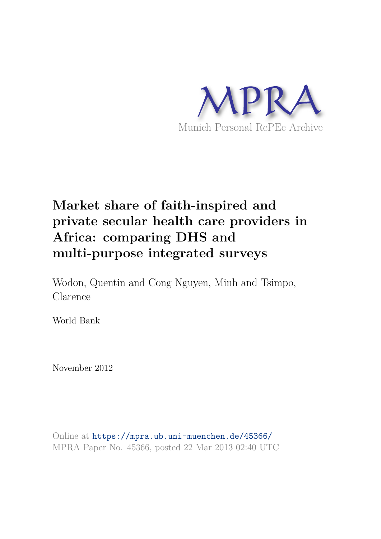

# **Market share of faith-inspired and private secular health care providers in Africa: comparing DHS and multi-purpose integrated surveys**

Wodon, Quentin and Cong Nguyen, Minh and Tsimpo, Clarence

World Bank

November 2012

Online at https://mpra.ub.uni-muenchen.de/45366/ MPRA Paper No. 45366, posted 22 Mar 2013 02:40 UTC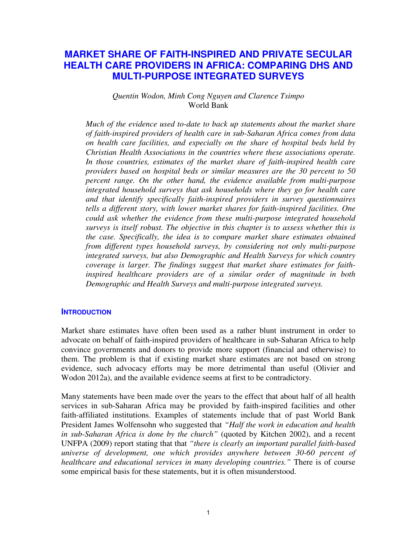# **MARKET SHARE OF FAITH-INSPIRED AND PRIVATE SECULAR HEALTH CARE PROVIDERS IN AFRICA: COMPARING DHS AND MULTI-PURPOSE INTEGRATED SURVEYS**

## *Quentin Wodon, Minh Cong Nguyen and Clarence Tsimpo*  World Bank

*Much of the evidence used to-date to back up statements about the market share of faith-inspired providers of health care in sub-Saharan Africa comes from data on health care facilities, and especially on the share of hospital beds held by Christian Health Associations in the countries where these associations operate. In those countries, estimates of the market share of faith-inspired health care providers based on hospital beds or similar measures are the 30 percent to 50 percent range. On the other hand, the evidence available from multi-purpose integrated household surveys that ask households where they go for health care and that identify specifically faith-inspired providers in survey questionnaires tells a different story, with lower market shares for faith-inspired facilities. One could ask whether the evidence from these multi-purpose integrated household surveys is itself robust. The objective in this chapter is to assess whether this is the case. Specifically, the idea is to compare market share estimates obtained from different types household surveys, by considering not only multi-purpose integrated surveys, but also Demographic and Health Surveys for which country coverage is larger. The findings suggest that market share estimates for faithinspired healthcare providers are of a similar order of magnitude in both Demographic and Health Surveys and multi-purpose integrated surveys.*

#### **INTRODUCTION**

Market share estimates have often been used as a rather blunt instrument in order to advocate on behalf of faith-inspired providers of healthcare in sub-Saharan Africa to help convince governments and donors to provide more support (financial and otherwise) to them. The problem is that if existing market share estimates are not based on strong evidence, such advocacy efforts may be more detrimental than useful (Olivier and Wodon 2012a), and the available evidence seems at first to be contradictory.

Many statements have been made over the years to the effect that about half of all health services in sub-Saharan Africa may be provided by faith-inspired facilities and other faith-affiliated institutions. Examples of statements include that of past World Bank President James Wolfensohn who suggested that *"Half the work in education and health in sub-Saharan Africa is done by the church"* (quoted by Kitchen 2002), and a recent UNFPA (2009) report stating that that *"there is clearly an important parallel faith-based universe of development, one which provides anywhere between 30-60 percent of healthcare and educational services in many developing countries."* There is of course some empirical basis for these statements, but it is often misunderstood.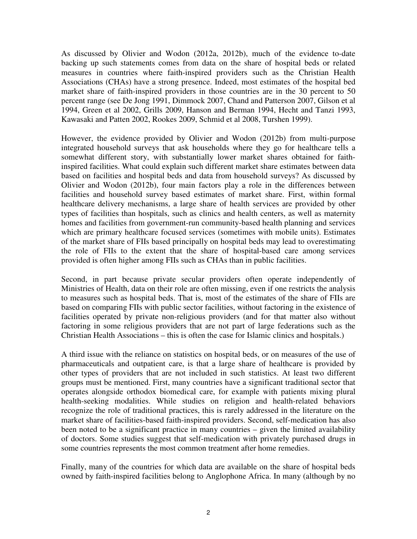As discussed by Olivier and Wodon (2012a, 2012b), much of the evidence to-date backing up such statements comes from data on the share of hospital beds or related measures in countries where faith-inspired providers such as the Christian Health Associations (CHAs) have a strong presence. Indeed, most estimates of the hospital bed market share of faith-inspired providers in those countries are in the 30 percent to 50 percent range (see De Jong 1991, Dimmock 2007, Chand and Patterson 2007, Gilson et al 1994, Green et al 2002, Grills 2009, Hanson and Berman 1994, Hecht and Tanzi 1993, Kawasaki and Patten 2002, Rookes 2009, Schmid et al 2008, Turshen 1999).

However, the evidence provided by Olivier and Wodon (2012b) from multi-purpose integrated household surveys that ask households where they go for healthcare tells a somewhat different story, with substantially lower market shares obtained for faithinspired facilities. What could explain such different market share estimates between data based on facilities and hospital beds and data from household surveys? As discussed by Olivier and Wodon (2012b), four main factors play a role in the differences between facilities and household survey based estimates of market share. First, within formal healthcare delivery mechanisms, a large share of health services are provided by other types of facilities than hospitals, such as clinics and health centers, as well as maternity homes and facilities from government-run community-based health planning and services which are primary healthcare focused services (sometimes with mobile units). Estimates of the market share of FIIs based principally on hospital beds may lead to overestimating the role of FIIs to the extent that the share of hospital-based care among services provided is often higher among FIIs such as CHAs than in public facilities.

Second, in part because private secular providers often operate independently of Ministries of Health, data on their role are often missing, even if one restricts the analysis to measures such as hospital beds. That is, most of the estimates of the share of FIIs are based on comparing FIIs with public sector facilities, without factoring in the existence of facilities operated by private non-religious providers (and for that matter also without factoring in some religious providers that are not part of large federations such as the Christian Health Associations – this is often the case for Islamic clinics and hospitals.)

A third issue with the reliance on statistics on hospital beds, or on measures of the use of pharmaceuticals and outpatient care, is that a large share of healthcare is provided by other types of providers that are not included in such statistics. At least two different groups must be mentioned. First, many countries have a significant traditional sector that operates alongside orthodox biomedical care, for example with patients mixing plural health-seeking modalities. While studies on religion and health-related behaviors recognize the role of traditional practices, this is rarely addressed in the literature on the market share of facilities-based faith-inspired providers. Second, self-medication has also been noted to be a significant practice in many countries – given the limited availability of doctors. Some studies suggest that self-medication with privately purchased drugs in some countries represents the most common treatment after home remedies.

Finally, many of the countries for which data are available on the share of hospital beds owned by faith-inspired facilities belong to Anglophone Africa. In many (although by no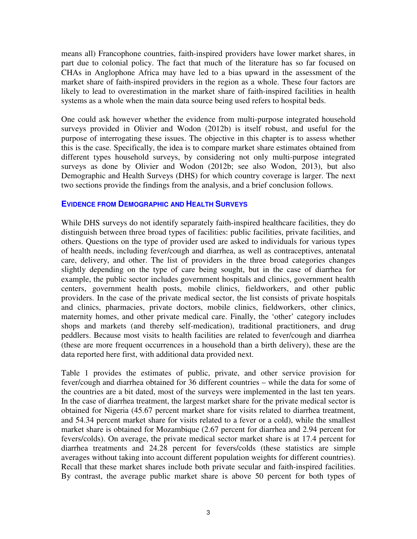means all) Francophone countries, faith-inspired providers have lower market shares, in part due to colonial policy. The fact that much of the literature has so far focused on CHAs in Anglophone Africa may have led to a bias upward in the assessment of the market share of faith-inspired providers in the region as a whole. These four factors are likely to lead to overestimation in the market share of faith-inspired facilities in health systems as a whole when the main data source being used refers to hospital beds.

One could ask however whether the evidence from multi-purpose integrated household surveys provided in Olivier and Wodon (2012b) is itself robust, and useful for the purpose of interrogating these issues. The objective in this chapter is to assess whether this is the case. Specifically, the idea is to compare market share estimates obtained from different types household surveys, by considering not only multi-purpose integrated surveys as done by Olivier and Wodon (2012b; see also Wodon, 2013), but also Demographic and Health Surveys (DHS) for which country coverage is larger. The next two sections provide the findings from the analysis, and a brief conclusion follows.

## **EVIDENCE FROM DEMOGRAPHIC AND HEALTH SURVEYS**

While DHS surveys do not identify separately faith-inspired healthcare facilities, they do distinguish between three broad types of facilities: public facilities, private facilities, and others. Questions on the type of provider used are asked to individuals for various types of health needs, including fever/cough and diarrhea, as well as contraceptives, antenatal care, delivery, and other. The list of providers in the three broad categories changes slightly depending on the type of care being sought, but in the case of diarrhea for example, the public sector includes government hospitals and clinics, government health centers, government health posts, mobile clinics, fieldworkers, and other public providers. In the case of the private medical sector, the list consists of private hospitals and clinics, pharmacies, private doctors, mobile clinics, fieldworkers, other clinics, maternity homes, and other private medical care. Finally, the 'other' category includes shops and markets (and thereby self-medication), traditional practitioners, and drug peddlers. Because most visits to health facilities are related to fever/cough and diarrhea (these are more frequent occurrences in a household than a birth delivery), these are the data reported here first, with additional data provided next.

Table 1 provides the estimates of public, private, and other service provision for fever/cough and diarrhea obtained for 36 different countries – while the data for some of the countries are a bit dated, most of the surveys were implemented in the last ten years. In the case of diarrhea treatment, the largest market share for the private medical sector is obtained for Nigeria (45.67 percent market share for visits related to diarrhea treatment, and 54.34 percent market share for visits related to a fever or a cold), while the smallest market share is obtained for Mozambique (2.67 percent for diarrhea and 2.94 percent for fevers/colds). On average, the private medical sector market share is at 17.4 percent for diarrhea treatments and 24.28 percent for fevers/colds (these statistics are simple averages without taking into account different population weights for different countries). Recall that these market shares include both private secular and faith-inspired facilities. By contrast, the average public market share is above 50 percent for both types of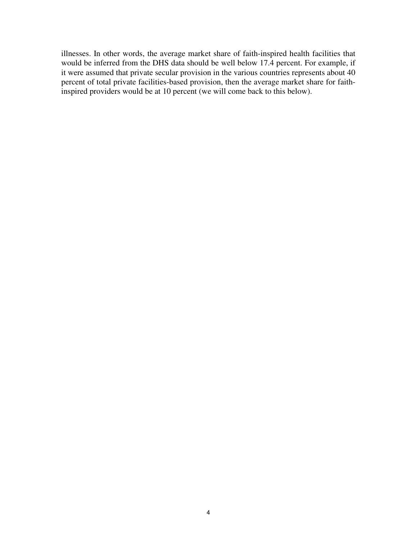illnesses. In other words, the average market share of faith-inspired health facilities that would be inferred from the DHS data should be well below 17.4 percent. For example, if it were assumed that private secular provision in the various countries represents about 40 percent of total private facilities-based provision, then the average market share for faithinspired providers would be at 10 percent (we will come back to this below).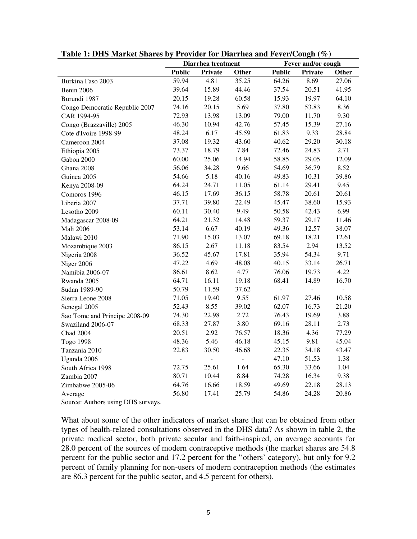|                                | Diarrhea treatment |                |                | Fever and/or cough |                |       |
|--------------------------------|--------------------|----------------|----------------|--------------------|----------------|-------|
|                                | <b>Public</b>      | Private        | Other          | <b>Public</b>      | <b>Private</b> | Other |
| Burkina Faso 2003              | 59.94              | 4.81           | 35.25          | 64.26              | 8.69           | 27.06 |
| Benin 2006                     | 39.64              | 15.89          | 44.46          | 37.54              | 20.51          | 41.95 |
| Burundi 1987                   | 20.15              | 19.28          | 60.58          | 15.93              | 19.97          | 64.10 |
| Congo Democratic Republic 2007 | 74.16              | 20.15          | 5.69           | 37.80              | 53.83          | 8.36  |
| CAR 1994-95                    | 72.93              | 13.98          | 13.09          | 79.00              | 11.70          | 9.30  |
| Congo (Brazzaville) 2005       | 46.30              | 10.94          | 42.76          | 57.45              | 15.39          | 27.16 |
| Cote d'Ivoire 1998-99          | 48.24              | 6.17           | 45.59          | 61.83              | 9.33           | 28.84 |
| Cameroon 2004                  | 37.08              | 19.32          | 43.60          | 40.62              | 29.20          | 30.18 |
| Ethiopia 2005                  | 73.37              | 18.79          | 7.84           | 72.46              | 24.83          | 2.71  |
| Gabon 2000                     | 60.00              | 25.06          | 14.94          | 58.85              | 29.05          | 12.09 |
| Ghana 2008                     | 56.06              | 34.28          | 9.66           | 54.69              | 36.79          | 8.52  |
| Guinea 2005                    | 54.66              | 5.18           | 40.16          | 49.83              | 10.31          | 39.86 |
| Kenya 2008-09                  | 64.24              | 24.71          | 11.05          | 61.14              | 29.41          | 9.45  |
| Comoros 1996                   | 46.15              | 17.69          | 36.15          | 58.78              | 20.61          | 20.61 |
| Liberia 2007                   | 37.71              | 39.80          | 22.49          | 45.47              | 38.60          | 15.93 |
| Lesotho 2009                   | 60.11              | 30.40          | 9.49           | 50.58              | 42.43          | 6.99  |
| Madagascar 2008-09             | 64.21              | 21.32          | 14.48          | 59.37              | 29.17          | 11.46 |
| <b>Mali 2006</b>               | 53.14              | 6.67           | 40.19          | 49.36              | 12.57          | 38.07 |
| Malawi 2010                    | 71.90              | 15.03          | 13.07          | 69.18              | 18.21          | 12.61 |
| Mozambique 2003                | 86.15              | 2.67           | 11.18          | 83.54              | 2.94           | 13.52 |
| Nigeria 2008                   | 36.52              | 45.67          | 17.81          | 35.94              | 54.34          | 9.71  |
| Niger 2006                     | 47.22              | 4.69           | 48.08          | 40.15              | 33.14          | 26.71 |
| Namibia 2006-07                | 86.61              | 8.62           | 4.77           | 76.06              | 19.73          | 4.22  |
| Rwanda 2005                    | 64.71              | 16.11          | 19.18          | 68.41              | 14.89          | 16.70 |
| Sudan 1989-90                  | 50.79              | 11.59          | 37.62          | $\overline{a}$     | $\overline{a}$ | ÷,    |
| Sierra Leone 2008              | 71.05              | 19.40          | 9.55           | 61.97              | 27.46          | 10.58 |
| Senegal 2005                   | 52.43              | 8.55           | 39.02          | 62.07              | 16.73          | 21.20 |
| Sao Tome and Principe 2008-09  | 74.30              | 22.98          | 2.72           | 76.43              | 19.69          | 3.88  |
| Swaziland 2006-07              | 68.33              | 27.87          | 3.80           | 69.16              | 28.11          | 2.73  |
| <b>Chad 2004</b>               | 20.51              | 2.92           | 76.57          | 18.36              | 4.36           | 77.29 |
| Togo 1998                      | 48.36              | 5.46           | 46.18          | 45.15              | 9.81           | 45.04 |
| Tanzania 2010                  | 22.83              | 30.50          | 46.68          | 22.35              | 34.18          | 43.47 |
| Uganda 2006                    | $\overline{a}$     | $\overline{a}$ | $\overline{a}$ | 47.10              | 51.53          | 1.38  |
| South Africa 1998              | 72.75              | 25.61          | 1.64           | 65.30              | 33.66          | 1.04  |
| Zambia 2007                    | 80.71              | 10.44          | 8.84           | 74.28              | 16.34          | 9.38  |
| Zimbabwe 2005-06               | 64.76              | 16.66          | 18.59          | 49.69              | 22.18          | 28.13 |
| Average                        | 56.80              | 17.41          | 25.79          | 54.86              | 24.28          | 20.86 |

**Table 1: DHS Market Shares by Provider for Diarrhea and Fever/Cough (%)** 

Source: Authors using DHS surveys.

What about some of the other indicators of market share that can be obtained from other types of health-related consultations observed in the DHS data? As shown in table 2, the private medical sector, both private secular and faith-inspired, on average accounts for 28.0 percent of the sources of modern contraceptive methods (the market shares are 54.8 percent for the public sector and 17.2 percent for the ''others' category), but only for 9.2 percent of family planning for non-users of modern contraception methods (the estimates are 86.3 percent for the public sector, and 4.5 percent for others).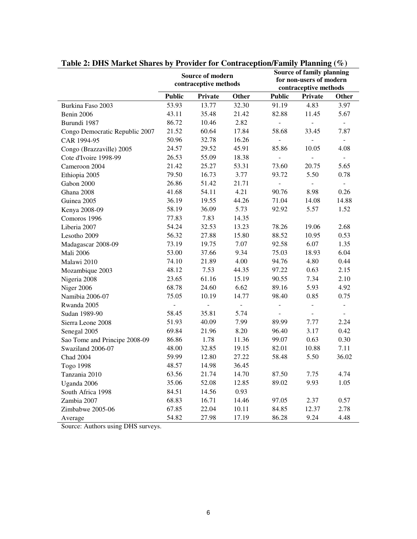| rabic 2. DTD market bliares by Trovider for Contraception/Fannly Training ( $\pi$ ) | Source of modern<br>contraceptive methods |                              |        |                              | Source of family planning<br>for non-users of modern<br>contraceptive methods |                          |  |  |
|-------------------------------------------------------------------------------------|-------------------------------------------|------------------------------|--------|------------------------------|-------------------------------------------------------------------------------|--------------------------|--|--|
|                                                                                     | <b>Public</b>                             | Private                      | Other  | <b>Public</b>                | Private                                                                       | Other                    |  |  |
| Burkina Faso 2003                                                                   | 53.93                                     | 13.77                        | 32.30  | 91.19                        | 4.83                                                                          | 3.97                     |  |  |
| Benin 2006                                                                          | 43.11                                     | 35.48                        | 21.42  | 82.88                        | 11.45                                                                         | 5.67                     |  |  |
| Burundi 1987                                                                        | 86.72                                     | 10.46                        | 2.82   |                              | $\qquad \qquad \blacksquare$                                                  | $\blacksquare$           |  |  |
| Congo Democratic Republic 2007                                                      | 21.52                                     | 60.64                        | 17.84  | 58.68                        | 33.45                                                                         | 7.87                     |  |  |
| CAR 1994-95                                                                         | 50.96                                     | 32.78                        | 16.26  |                              |                                                                               | $\overline{\phantom{a}}$ |  |  |
| Congo (Brazzaville) 2005                                                            | 24.57                                     | 29.52                        | 45.91  | 85.86                        | 10.05                                                                         | 4.08                     |  |  |
| Cote d'Ivoire 1998-99                                                               | 26.53                                     | 55.09                        | 18.38  | ÷,                           | $\frac{1}{2}$                                                                 | $\equiv$                 |  |  |
| Cameroon 2004                                                                       | 21.42                                     | 25.27                        | 53.31  | 73.60                        | 20.75                                                                         | 5.65                     |  |  |
| Ethiopia 2005                                                                       | 79.50                                     | 16.73                        | 3.77   | 93.72                        | 5.50                                                                          | 0.78                     |  |  |
| Gabon 2000                                                                          | 26.86                                     | 51.42                        | 21.71  | $\blacksquare$               | $\Box$                                                                        | $\equiv$                 |  |  |
| Ghana 2008                                                                          | 41.68                                     | 54.11                        | 4.21   | 90.76                        | 8.98                                                                          | 0.26                     |  |  |
| Guinea 2005                                                                         | 36.19                                     | 19.55                        | 44.26  | 71.04                        | 14.08                                                                         | 14.88                    |  |  |
| Kenya 2008-09                                                                       | 58.19                                     | 36.09                        | 5.73   | 92.92                        | 5.57                                                                          | 1.52                     |  |  |
| Comoros 1996                                                                        | 77.83                                     | 7.83                         | 14.35  |                              |                                                                               |                          |  |  |
| Liberia 2007                                                                        | 54.24                                     | 32.53                        | 13.23  | 78.26                        | 19.06                                                                         | 2.68                     |  |  |
| Lesotho 2009                                                                        | 56.32                                     | 27.88                        | 15.80  | 88.52                        | 10.95                                                                         | 0.53                     |  |  |
| Madagascar 2008-09                                                                  | 73.19                                     | 19.75                        | 7.07   | 92.58                        | 6.07                                                                          | 1.35                     |  |  |
| <b>Mali 2006</b>                                                                    | 53.00                                     | 37.66                        | 9.34   | 75.03                        | 18.93                                                                         | 6.04                     |  |  |
| Malawi 2010                                                                         | 74.10                                     | 21.89                        | 4.00   | 94.76                        | 4.80                                                                          | 0.44                     |  |  |
| Mozambique 2003                                                                     | 48.12                                     | 7.53                         | 44.35  | 97.22                        | 0.63                                                                          | 2.15                     |  |  |
| Nigeria 2008                                                                        | 23.65                                     | 61.16                        | 15.19  | 90.55                        | 7.34                                                                          | 2.10                     |  |  |
| Niger 2006                                                                          | 68.78                                     | 24.60                        | 6.62   | 89.16                        | 5.93                                                                          | 4.92                     |  |  |
| Namibia 2006-07                                                                     | 75.05                                     | 10.19                        | 14.77  | 98.40                        | 0.85                                                                          | 0.75                     |  |  |
| Rwanda 2005                                                                         |                                           | $\qquad \qquad \blacksquare$ | $\Box$ | $\qquad \qquad \blacksquare$ |                                                                               | -                        |  |  |
| Sudan 1989-90                                                                       | 58.45                                     | 35.81                        | 5.74   |                              |                                                                               |                          |  |  |
| Sierra Leone 2008                                                                   | 51.93                                     | 40.09                        | 7.99   | 89.99                        | 7.77                                                                          | 2.24                     |  |  |
| Senegal 2005                                                                        | 69.84                                     | 21.96                        | 8.20   | 96.40                        | 3.17                                                                          | 0.42                     |  |  |
| Sao Tome and Principe 2008-09                                                       | 86.86                                     | 1.78                         | 11.36  | 99.07                        | 0.63                                                                          | 0.30                     |  |  |
| Swaziland 2006-07                                                                   | 48.00                                     | 32.85                        | 19.15  | 82.01                        | 10.88                                                                         | 7.11                     |  |  |
| <b>Chad 2004</b>                                                                    | 59.99                                     | 12.80                        | 27.22  | 58.48                        | 5.50                                                                          | 36.02                    |  |  |
| Togo 1998                                                                           | 48.57                                     | 14.98                        | 36.45  |                              |                                                                               |                          |  |  |
| Tanzania 2010                                                                       | 63.56                                     | 21.74                        | 14.70  | 87.50                        | 7.75                                                                          | 4.74                     |  |  |
| Uganda 2006                                                                         | 35.06                                     | 52.08                        | 12.85  | 89.02                        | 9.93                                                                          | 1.05                     |  |  |
| South Africa 1998                                                                   | 84.51                                     | 14.56                        | 0.93   |                              |                                                                               |                          |  |  |
| Zambia 2007                                                                         | 68.83                                     | 16.71                        | 14.46  | 97.05                        | 2.37                                                                          | 0.57                     |  |  |
| Zimbabwe 2005-06                                                                    | 67.85                                     | 22.04                        | 10.11  | 84.85                        | 12.37                                                                         | 2.78                     |  |  |
| Average                                                                             | 54.82                                     | 27.98                        | 17.19  | 86.28                        | 9.24                                                                          | 4.48                     |  |  |

| Table 2: DHS Market Shares by Provider for Contraception/Family Planning (%) |  |  |
|------------------------------------------------------------------------------|--|--|
|------------------------------------------------------------------------------|--|--|

Source: Authors using DHS surveys.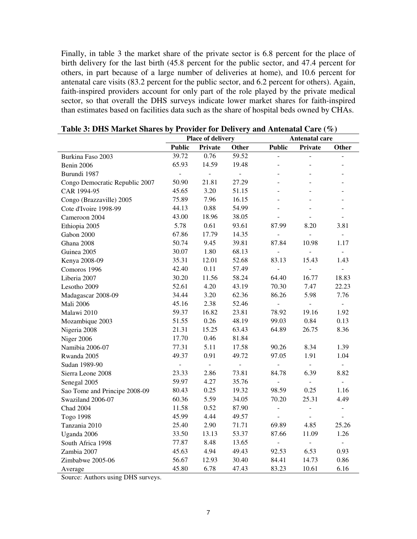Finally, in table 3 the market share of the private sector is 6.8 percent for the place of birth delivery for the last birth (45.8 percent for the public sector, and 47.4 percent for others, in part because of a large number of deliveries at home), and 10.6 percent for antenatal care visits (83.2 percent for the public sector, and 6.2 percent for others). Again, faith-inspired providers account for only part of the role played by the private medical sector, so that overall the DHS surveys indicate lower market shares for faith-inspired than estimates based on facilities data such as the share of hospital beds owned by CHAs.

|                                | <b>Place of delivery</b> |                |                | Antenatal care           |                |                          |
|--------------------------------|--------------------------|----------------|----------------|--------------------------|----------------|--------------------------|
|                                | <b>Public</b>            | Private        | Other          | <b>Public</b>            | Private        | Other                    |
| Burkina Faso 2003              | 39.72                    | 0.76           | 59.52          | $\overline{a}$           | ÷,             | $\overline{a}$           |
| Benin 2006                     | 65.93                    | 14.59          | 19.48          |                          |                |                          |
| Burundi 1987                   | $\frac{1}{2}$            | $\overline{a}$ | $\overline{a}$ |                          |                |                          |
| Congo Democratic Republic 2007 | 50.90                    | 21.81          | 27.29          |                          |                |                          |
| CAR 1994-95                    | 45.65                    | 3.20           | 51.15          |                          |                |                          |
| Congo (Brazzaville) 2005       | 75.89                    | 7.96           | 16.15          |                          |                |                          |
| Cote d'Ivoire 1998-99          | 44.13                    | 0.88           | 54.99          |                          |                |                          |
| Cameroon 2004                  | 43.00                    | 18.96          | 38.05          | $\overline{a}$           |                |                          |
| Ethiopia 2005                  | 5.78                     | 0.61           | 93.61          | 87.99                    | 8.20           | 3.81                     |
| Gabon 2000                     | 67.86                    | 17.79          | 14.35          |                          | $\overline{a}$ | $\overline{\phantom{a}}$ |
| Ghana 2008                     | 50.74                    | 9.45           | 39.81          | 87.84                    | 10.98          | 1.17                     |
| Guinea 2005                    | 30.07                    | 1.80           | 68.13          | $\overline{a}$           | $\overline{a}$ | ÷,                       |
| Kenya 2008-09                  | 35.31                    | 12.01          | 52.68          | 83.13                    | 15.43          | 1.43                     |
| Comoros 1996                   | 42.40                    | 0.11           | 57.49          | $\overline{a}$           | $\overline{a}$ | $\blacksquare$           |
| Liberia 2007                   | 30.20                    | 11.56          | 58.24          | 64.40                    | 16.77          | 18.83                    |
| Lesotho 2009                   | 52.61                    | 4.20           | 43.19          | 70.30                    | 7.47           | 22.23                    |
| Madagascar 2008-09             | 34.44                    | 3.20           | 62.36          | 86.26                    | 5.98           | 7.76                     |
| <b>Mali 2006</b>               | 45.16                    | 2.38           | 52.46          | $\overline{a}$           | ÷,             | ÷.                       |
| Malawi 2010                    | 59.37                    | 16.82          | 23.81          | 78.92                    | 19.16          | 1.92                     |
| Mozambique 2003                | 51.55                    | 0.26           | 48.19          | 99.03                    | 0.84           | 0.13                     |
| Nigeria 2008                   | 21.31                    | 15.25          | 63.43          | 64.89                    | 26.75          | 8.36                     |
| Niger 2006                     | 17.70                    | 0.46           | 81.84          |                          |                |                          |
| Namibia 2006-07                | 77.31                    | 5.11           | 17.58          | 90.26                    | 8.34           | 1.39                     |
| Rwanda 2005                    | 49.37                    | 0.91           | 49.72          | 97.05                    | 1.91           | 1.04                     |
| Sudan 1989-90                  | $\frac{1}{2}$            | $\overline{a}$ | $\frac{1}{2}$  | $\overline{\phantom{a}}$ | ÷.             | $\equiv$                 |
| Sierra Leone 2008              | 23.33                    | 2.86           | 73.81          | 84.78                    | 6.39           | 8.82                     |
| Senegal 2005                   | 59.97                    | 4.27           | 35.76          | $\overline{\phantom{0}}$ | $\frac{1}{2}$  | $\overline{\phantom{0}}$ |
| Sao Tome and Principe 2008-09  | 80.43                    | 0.25           | 19.32          | 98.59                    | 0.25           | 1.16                     |
| Swaziland 2006-07              | 60.36                    | 5.59           | 34.05          | 70.20                    | 25.31          | 4.49                     |
| <b>Chad 2004</b>               | 11.58                    | 0.52           | 87.90          | -                        | $\blacksquare$ | $\overline{\phantom{0}}$ |
| Togo 1998                      | 45.99                    | 4.44           | 49.57          | ÷,                       | $\frac{1}{2}$  | $\overline{a}$           |
| Tanzania 2010                  | 25.40                    | 2.90           | 71.71          | 69.89                    | 4.85           | 25.26                    |
| Uganda 2006                    | 33.50                    | 13.13          | 53.37          | 87.66                    | 11.09          | 1.26                     |
| South Africa 1998              | 77.87                    | 8.48           | 13.65          | $\overline{a}$           | ÷,             | $\overline{a}$           |
| Zambia 2007                    | 45.63                    | 4.94           | 49.43          | 92.53                    | 6.53           | 0.93                     |
| Zimbabwe 2005-06               | 56.67                    | 12.93          | 30.40          | 84.41                    | 14.73          | 0.86                     |
| Average                        | 45.80                    | 6.78           | 47.43          | 83.23                    | 10.61          | 6.16                     |

Source: Authors using DHS surveys.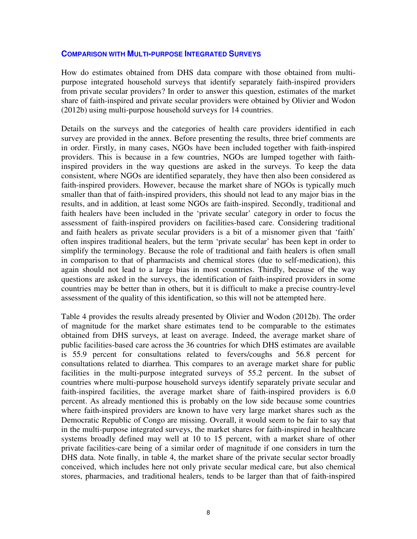#### **COMPARISON WITH MULTI-PURPOSE INTEGRATED SURVEYS**

How do estimates obtained from DHS data compare with those obtained from multipurpose integrated household surveys that identify separately faith-inspired providers from private secular providers? In order to answer this question, estimates of the market share of faith-inspired and private secular providers were obtained by Olivier and Wodon (2012b) using multi-purpose household surveys for 14 countries.

Details on the surveys and the categories of health care providers identified in each survey are provided in the annex. Before presenting the results, three brief comments are in order. Firstly, in many cases, NGOs have been included together with faith-inspired providers. This is because in a few countries, NGOs are lumped together with faithinspired providers in the way questions are asked in the surveys. To keep the data consistent, where NGOs are identified separately, they have then also been considered as faith-inspired providers. However, because the market share of NGOs is typically much smaller than that of faith-inspired providers, this should not lead to any major bias in the results, and in addition, at least some NGOs are faith-inspired. Secondly, traditional and faith healers have been included in the 'private secular' category in order to focus the assessment of faith-inspired providers on facilities-based care. Considering traditional and faith healers as private secular providers is a bit of a misnomer given that 'faith' often inspires traditional healers, but the term 'private secular' has been kept in order to simplify the terminology. Because the role of traditional and faith healers is often small in comparison to that of pharmacists and chemical stores (due to self-medication), this again should not lead to a large bias in most countries. Thirdly, because of the way questions are asked in the surveys, the identification of faith-inspired providers in some countries may be better than in others, but it is difficult to make a precise country-level assessment of the quality of this identification, so this will not be attempted here.

Table 4 provides the results already presented by Olivier and Wodon (2012b). The order of magnitude for the market share estimates tend to be comparable to the estimates obtained from DHS surveys, at least on average. Indeed, the average market share of public facilities-based care across the 36 countries for which DHS estimates are available is 55.9 percent for consultations related to fevers/coughs and 56.8 percent for consultations related to diarrhea. This compares to an average market share for public facilities in the multi-purpose integrated surveys of 55.2 percent. In the subset of countries where multi-purpose household surveys identify separately private secular and faith-inspired facilities, the average market share of faith-inspired providers is 6.0 percent. As already mentioned this is probably on the low side because some countries where faith-inspired providers are known to have very large market shares such as the Democratic Republic of Congo are missing. Overall, it would seem to be fair to say that in the multi-purpose integrated surveys, the market shares for faith-inspired in healthcare systems broadly defined may well at 10 to 15 percent, with a market share of other private facilities-care being of a similar order of magnitude if one considers in turn the DHS data. Note finally, in table 4, the market share of the private secular sector broadly conceived, which includes here not only private secular medical care, but also chemical stores, pharmacies, and traditional healers, tends to be larger than that of faith-inspired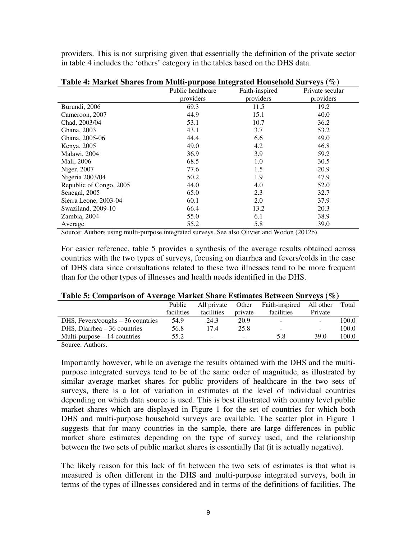providers. This is not surprising given that essentially the definition of the private sector in table 4 includes the 'others' category in the tables based on the DHS data.

| "There is the control of the second second second second second second second second second second second second second second second second second second second second second second second second second second second seco | Public healthcare | $P^{\mu\nu}$ pose mitegrated modellong surveys (70)<br>Faith-inspired | Private secular |
|--------------------------------------------------------------------------------------------------------------------------------------------------------------------------------------------------------------------------------|-------------------|-----------------------------------------------------------------------|-----------------|
|                                                                                                                                                                                                                                | providers         | providers                                                             | providers       |
| Burundi, 2006                                                                                                                                                                                                                  | 69.3              | 11.5                                                                  | 19.2            |
| Cameroon, 2007                                                                                                                                                                                                                 | 44.9              | 15.1                                                                  | 40.0            |
| Chad, 2003/04                                                                                                                                                                                                                  | 53.1              | 10.7                                                                  | 36.2            |
| Ghana, 2003                                                                                                                                                                                                                    | 43.1              | 3.7                                                                   | 53.2            |
| Ghana, 2005-06                                                                                                                                                                                                                 | 44.4              | 6.6                                                                   | 49.0            |
| Kenya, 2005                                                                                                                                                                                                                    | 49.0              | 4.2                                                                   | 46.8            |
| Malawi, 2004                                                                                                                                                                                                                   | 36.9              | 3.9                                                                   | 59.2            |
| Mali, 2006                                                                                                                                                                                                                     | 68.5              | 1.0                                                                   | 30.5            |
| Niger, 2007                                                                                                                                                                                                                    | 77.6              | 1.5                                                                   | 20.9            |
| Nigeria 2003/04                                                                                                                                                                                                                | 50.2              | 1.9                                                                   | 47.9            |
| Republic of Congo, 2005                                                                                                                                                                                                        | 44.0              | 4.0                                                                   | 52.0            |
| Senegal, 2005                                                                                                                                                                                                                  | 65.0              | 2.3                                                                   | 32.7            |
| Sierra Leone, 2003-04                                                                                                                                                                                                          | 60.1              | 2.0                                                                   | 37.9            |
| Swaziland, 2009-10                                                                                                                                                                                                             | 66.4              | 13.2                                                                  | 20.3            |
| Zambia, 2004                                                                                                                                                                                                                   | 55.0              | 6.1                                                                   | 38.9            |
| Average                                                                                                                                                                                                                        | 55.2              | 5.8                                                                   | 39.0            |

**Table 4: Market Shares from Multi-purpose Integrated Household Surveys (%)**

Source: Authors using multi-purpose integrated surveys. See also Olivier and Wodon (2012b).

For easier reference, table 5 provides a synthesis of the average results obtained across countries with the two types of surveys, focusing on diarrhea and fevers/colds in the case of DHS data since consultations related to these two illnesses tend to be more frequent than for the other types of illnesses and health needs identified in the DHS.

|  | Table 5: Comparison of Average Market Share Estimates Between Surveys (%) |  |
|--|---------------------------------------------------------------------------|--|
|  |                                                                           |  |

|                                    | Public     | All private | Other                    | Faith-inspired All other |         | Total |
|------------------------------------|------------|-------------|--------------------------|--------------------------|---------|-------|
|                                    | facilities | facilities  | private                  | facilities               | Private |       |
| DHS, Fevers/coughs $-36$ countries | 54.9       | 24.3        | 20.9                     | $\overline{\phantom{0}}$ |         | 100.0 |
| DHS, Diarrhea – 36 countries       | 56.8       | 17.4        | 25.8                     | -                        | -       | 100.0 |
| Multi-purpose $-14$ countries      | 55.2       | -           | $\overline{\phantom{0}}$ | 5.8                      | 39.0    | 100.0 |
|                                    |            |             |                          |                          |         |       |

Source: Authors.

Importantly however, while on average the results obtained with the DHS and the multipurpose integrated surveys tend to be of the same order of magnitude, as illustrated by similar average market shares for public providers of healthcare in the two sets of surveys, there is a lot of variation in estimates at the level of individual countries depending on which data source is used. This is best illustrated with country level public market shares which are displayed in Figure 1 for the set of countries for which both DHS and multi-purpose household surveys are available. The scatter plot in Figure 1 suggests that for many countries in the sample, there are large differences in public market share estimates depending on the type of survey used, and the relationship between the two sets of public market shares is essentially flat (it is actually negative).

The likely reason for this lack of fit between the two sets of estimates is that what is measured is often different in the DHS and multi-purpose integrated surveys, both in terms of the types of illnesses considered and in terms of the definitions of facilities. The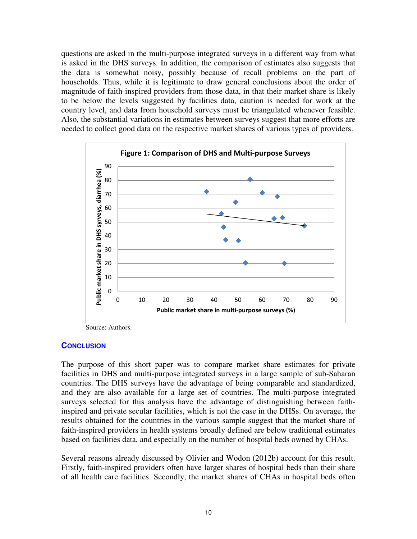questions are asked in the multi-purpose integrated surveys in a different way from what is asked in the DHS surveys. In addition, the comparison of estimates also suggests that the data is somewhat noisy, possibly because of recall problems on the part of households. Thus, while it is legitimate to draw general conclusions about the order of magnitude of faith-inspired providers from those data, in that their market share is likely to be below the levels suggested by facilities data, caution is needed for work at the country level, and data from household surveys must be triangulated whenever feasible. Also, the substantial variations in estimates between surveys suggest that more efforts are needed to collect good data on the respective market shares of various types of providers.



Source: Authors.

#### **CONCLUSION**

The purpose of this short paper was to compare market share estimates for private facilities in DHS and multi-purpose integrated surveys in a large sample of sub-Saharan countries. The DHS surveys have the advantage of being comparable and standardized, and they are also available for a large set of countries. The multi-purpose integrated surveys selected for this analysis have the advantage of distinguishing between faithinspired and private secular facilities, which is not the case in the DHSs. On average, the results obtained for the countries in the various sample suggest that the market share of faith-inspired providers in health systems broadly defined are below traditional estimates based on facilities data, and especially on the number of hospital beds owned by CHAs.

Several reasons already discussed by Olivier and Wodon (2012b) account for this result. Firstly, faith-inspired providers often have larger shares of hospital beds than their share of all health care facilities. Secondly, the market shares of CHAs in hospital beds often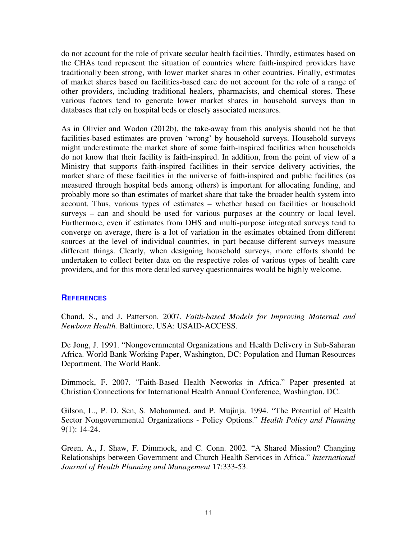do not account for the role of private secular health facilities. Thirdly, estimates based on the CHAs tend represent the situation of countries where faith-inspired providers have traditionally been strong, with lower market shares in other countries. Finally, estimates of market shares based on facilities-based care do not account for the role of a range of other providers, including traditional healers, pharmacists, and chemical stores. These various factors tend to generate lower market shares in household surveys than in databases that rely on hospital beds or closely associated measures.

As in Olivier and Wodon (2012b), the take-away from this analysis should not be that facilities-based estimates are proven 'wrong' by household surveys. Household surveys might underestimate the market share of some faith-inspired facilities when households do not know that their facility is faith-inspired. In addition, from the point of view of a Ministry that supports faith-inspired facilities in their service delivery activities, the market share of these facilities in the universe of faith-inspired and public facilities (as measured through hospital beds among others) is important for allocating funding, and probably more so than estimates of market share that take the broader health system into account. Thus, various types of estimates – whether based on facilities or household surveys – can and should be used for various purposes at the country or local level. Furthermore, even if estimates from DHS and multi-purpose integrated surveys tend to converge on average, there is a lot of variation in the estimates obtained from different sources at the level of individual countries, in part because different surveys measure different things. Clearly, when designing household surveys, more efforts should be undertaken to collect better data on the respective roles of various types of health care providers, and for this more detailed survey questionnaires would be highly welcome.

# **REFERENCES**

Chand, S., and J. Patterson. 2007. *Faith-based Models for Improving Maternal and Newborn Health.* Baltimore, USA: USAID-ACCESS.

De Jong, J. 1991. "Nongovernmental Organizations and Health Delivery in Sub-Saharan Africa. World Bank Working Paper, Washington, DC: Population and Human Resources Department, The World Bank.

Dimmock, F. 2007. "Faith-Based Health Networks in Africa." Paper presented at Christian Connections for International Health Annual Conference, Washington, DC.

Gilson, L., P. D. Sen, S. Mohammed, and P. Mujinja. 1994. "The Potential of Health Sector Nongovernmental Organizations - Policy Options." *Health Policy and Planning* 9(1): 14-24.

Green, A., J. Shaw, F. Dimmock, and C. Conn. 2002. "A Shared Mission? Changing Relationships between Government and Church Health Services in Africa." *International Journal of Health Planning and Management* 17:333-53.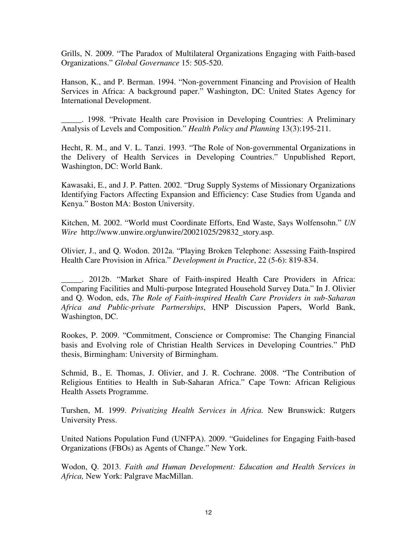Grills, N. 2009. "The Paradox of Multilateral Organizations Engaging with Faith-based Organizations." *Global Governance* 15: 505-520.

Hanson, K., and P. Berman. 1994. "Non-government Financing and Provision of Health Services in Africa: A background paper." Washington, DC: United States Agency for International Development.

\_\_\_\_\_. 1998. "Private Health care Provision in Developing Countries: A Preliminary Analysis of Levels and Composition." *Health Policy and Planning* 13(3):195-211.

Hecht, R. M., and V. L. Tanzi. 1993. "The Role of Non-governmental Organizations in the Delivery of Health Services in Developing Countries." Unpublished Report, Washington, DC: World Bank.

Kawasaki, E., and J. P. Patten. 2002. "Drug Supply Systems of Missionary Organizations Identifying Factors Affecting Expansion and Efficiency: Case Studies from Uganda and Kenya." Boston MA: Boston University.

Kitchen, M. 2002. "World must Coordinate Efforts, End Waste, Says Wolfensohn." *UN Wire* http://www.unwire.org/unwire/20021025/29832\_story.asp.

Olivier, J., and Q. Wodon. 2012a. "Playing Broken Telephone: Assessing Faith-Inspired Health Care Provision in Africa." *Development in Practice*, 22 (5-6): 819-834.

\_\_\_\_\_. 2012b. "Market Share of Faith-inspired Health Care Providers in Africa: Comparing Facilities and Multi-purpose Integrated Household Survey Data." In J. Olivier and Q. Wodon, eds, *The Role of Faith-inspired Health Care Providers in sub-Saharan Africa and Public-private Partnerships*, HNP Discussion Papers, World Bank, Washington, DC.

Rookes, P. 2009. "Commitment, Conscience or Compromise: The Changing Financial basis and Evolving role of Christian Health Services in Developing Countries." PhD thesis, Birmingham: University of Birmingham.

Schmid, B., E. Thomas, J. Olivier, and J. R. Cochrane. 2008. "The Contribution of Religious Entities to Health in Sub-Saharan Africa." Cape Town: African Religious Health Assets Programme.

Turshen, M. 1999. *Privatizing Health Services in Africa.* New Brunswick: Rutgers University Press.

United Nations Population Fund (UNFPA). 2009. "Guidelines for Engaging Faith-based Organizations (FBOs) as Agents of Change." New York.

Wodon, Q. 2013. *Faith and Human Development: Education and Health Services in Africa,* New York: Palgrave MacMillan.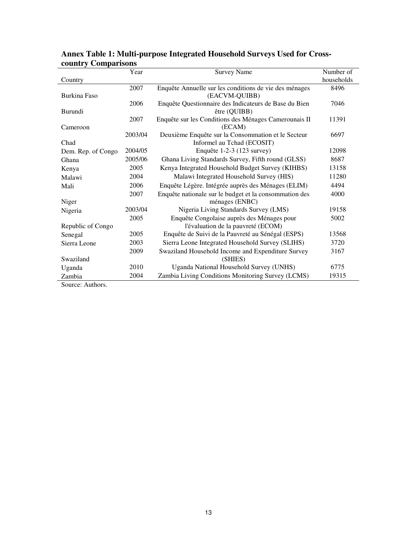|                    | Year    | <b>Survey Name</b>                                     | Number of  |
|--------------------|---------|--------------------------------------------------------|------------|
| Country            |         |                                                        | households |
|                    | 2007    | Enquête Annuelle sur les conditions de vie des ménages | 8496       |
| Burkina Faso       |         | (EACVM-QUIBB)                                          |            |
|                    | 2006    | Enquête Questionnaire des Indicateurs de Base du Bien  | 7046       |
| Burundi            |         | être (QUIBB)                                           |            |
|                    | 2007    | Enquête sur les Conditions des Ménages Camerounais II  | 11391      |
| Cameroon           |         | (ECAM)                                                 |            |
|                    | 2003/04 | Deuxième Enquête sur la Consommation et le Secteur     | 6697       |
| Chad               |         | Informel au Tchad (ECOSIT)                             |            |
| Dem. Rep. of Congo | 2004/05 | Enquête 1-2-3 (123 survey)                             | 12098      |
| Ghana              | 2005/06 | Ghana Living Standards Survey, Fifth round (GLSS)      | 8687       |
| Kenya              | 2005    | Kenya Integrated Household Budget Survey (KIHBS)       | 13158      |
| Malawi             | 2004    | Malawi Integrated Household Survey (HIS)               | 11280      |
| Mali               | 2006    | Enquête Légère. Intégrée auprès des Ménages (ELIM)     | 4494       |
|                    | 2007    | Enquête nationale sur le budget et la consommation des | 4000       |
| Niger              |         | ménages (ENBC)                                         |            |
| Nigeria            | 2003/04 | Nigeria Living Standards Survey (LMS)                  | 19158      |
|                    | 2005    | Enquête Congolaise auprès des Ménages pour             | 5002       |
| Republic of Congo  |         | l'évaluation de la pauvreté (ECOM)                     |            |
| Senegal            | 2005    | Enquête de Suivi de la Pauvreté au Sénégal (ESPS)      | 13568      |
| Sierra Leone       | 2003    | Sierra Leone Integrated Household Survey (SLIHS)       | 3720       |
|                    | 2009    | Swaziland Household Income and Expenditure Survey      | 3167       |
| Swaziland          |         | (SHIES)                                                |            |
| Uganda             | 2010    | Uganda National Household Survey (UNHS)                | 6775       |
| Zambia             | 2004    | Zambia Living Conditions Monitoring Survey (LCMS)      | 19315      |

# **Annex Table 1: Multi-purpose Integrated Household Surveys Used for Crosscountry Comparisons**

Source: Authors.